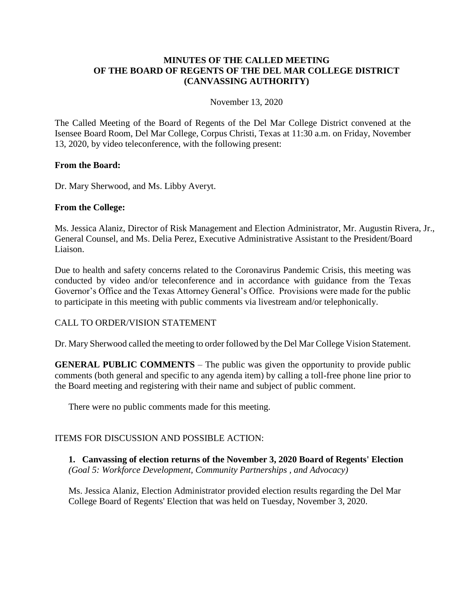### **MINUTES OF THE CALLED MEETING OF THE BOARD OF REGENTS OF THE DEL MAR COLLEGE DISTRICT (CANVASSING AUTHORITY)**

November 13, 2020

The Called Meeting of the Board of Regents of the Del Mar College District convened at the Isensee Board Room, Del Mar College, Corpus Christi, Texas at 11:30 a.m. on Friday, November 13, 2020, by video teleconference, with the following present:

#### **From the Board:**

Dr. Mary Sherwood, and Ms. Libby Averyt.

#### **From the College:**

Ms. Jessica Alaniz, Director of Risk Management and Election Administrator, Mr. Augustin Rivera, Jr., General Counsel, and Ms. Delia Perez, Executive Administrative Assistant to the President/Board Liaison.

Due to health and safety concerns related to the Coronavirus Pandemic Crisis, this meeting was conducted by video and/or teleconference and in accordance with guidance from the Texas Governor's Office and the Texas Attorney General's Office. Provisions were made for the public to participate in this meeting with public comments via livestream and/or telephonically.

#### CALL TO ORDER/VISION STATEMENT

Dr. Mary Sherwood called the meeting to order followed by the Del Mar College Vision Statement.

**GENERAL PUBLIC COMMENTS** – The public was given the opportunity to provide public comments (both general and specific to any agenda item) by calling a toll-free phone line prior to the Board meeting and registering with their name and subject of public comment.

There were no public comments made for this meeting.

#### ITEMS FOR DISCUSSION AND POSSIBLE ACTION:

**1. Canvassing of election returns of the November 3, 2020 Board of Regents' Election** *(Goal 5: Workforce Development, Community Partnerships , and Advocacy)*

Ms. Jessica Alaniz, Election Administrator provided election results regarding the Del Mar College Board of Regents' Election that was held on Tuesday, November 3, 2020.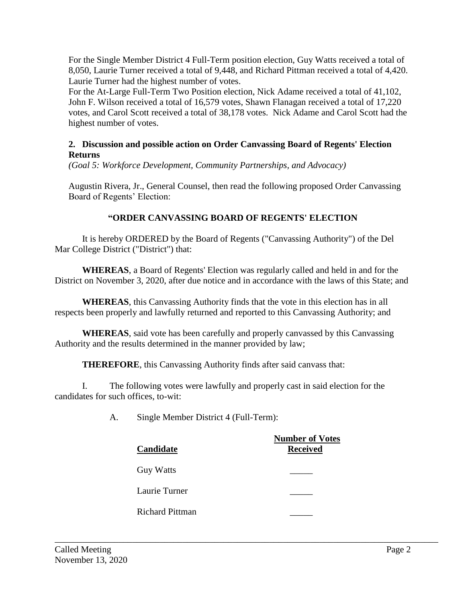For the Single Member District 4 Full-Term position election, Guy Watts received a total of 8,050, Laurie Turner received a total of 9,448, and Richard Pittman received a total of 4,420. Laurie Turner had the highest number of votes.

For the At-Large Full-Term Two Position election, Nick Adame received a total of 41,102, John F. Wilson received a total of 16,579 votes, Shawn Flanagan received a total of 17,220 votes, and Carol Scott received a total of 38,178 votes. Nick Adame and Carol Scott had the highest number of votes.

## **2. Discussion and possible action on Order Canvassing Board of Regents' Election Returns**

*(Goal 5: Workforce Development, Community Partnerships, and Advocacy)*

Augustin Rivera, Jr., General Counsel, then read the following proposed Order Canvassing Board of Regents' Election:

# **"ORDER CANVASSING BOARD OF REGENTS' ELECTION**

It is hereby ORDERED by the Board of Regents ("Canvassing Authority") of the Del Mar College District ("District") that:

**WHEREAS**, a Board of Regents' Election was regularly called and held in and for the District on November 3, 2020, after due notice and in accordance with the laws of this State; and

**WHEREAS**, this Canvassing Authority finds that the vote in this election has in all respects been properly and lawfully returned and reported to this Canvassing Authority; and

**WHEREAS**, said vote has been carefully and properly canvassed by this Canvassing Authority and the results determined in the manner provided by law;

**THEREFORE**, this Canvassing Authority finds after said canvass that:

I. The following votes were lawfully and properly cast in said election for the candidates for such offices, to-wit:

A. Single Member District 4 (Full-Term):

| Candidate              | <b>Number of Votes</b><br><b>Received</b> |
|------------------------|-------------------------------------------|
| <b>Guy Watts</b>       |                                           |
| Laurie Turner          |                                           |
| <b>Richard Pittman</b> |                                           |

\_\_\_\_\_\_\_\_\_\_\_\_\_\_\_\_\_\_\_\_\_\_\_\_\_\_\_\_\_\_\_\_\_\_\_\_\_\_\_\_\_\_\_\_\_\_\_\_\_\_\_\_\_\_\_\_\_\_\_\_\_\_\_\_\_\_\_\_\_\_\_\_\_\_\_\_\_\_\_\_\_\_\_\_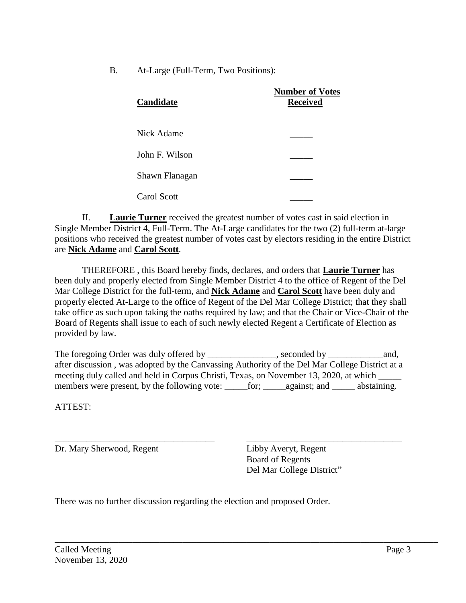B. At-Large (Full-Term, Two Positions):

| Candidate      | <b>Number of Votes</b><br><b>Received</b> |
|----------------|-------------------------------------------|
| Nick Adame     |                                           |
| John F. Wilson |                                           |
| Shawn Flanagan |                                           |
| Carol Scott    |                                           |

II. **Laurie Turner** received the greatest number of votes cast in said election in Single Member District 4, Full-Term. The At-Large candidates for the two (2) full-term at-large positions who received the greatest number of votes cast by electors residing in the entire District are **Nick Adame** and **Carol Scott**.

THEREFORE , this Board hereby finds, declares, and orders that **Laurie Turner** has been duly and properly elected from Single Member District 4 to the office of Regent of the Del Mar College District for the full-term, and **Nick Adame** and **Carol Scott** have been duly and properly elected At-Large to the office of Regent of the Del Mar College District; that they shall take office as such upon taking the oaths required by law; and that the Chair or Vice-Chair of the Board of Regents shall issue to each of such newly elected Regent a Certificate of Election as provided by law.

The foregoing Order was duly offered by \_\_\_\_\_\_\_\_\_\_\_\_\_\_\_, seconded by \_\_\_\_\_\_\_\_\_\_\_\_and, after discussion , was adopted by the Canvassing Authority of the Del Mar College District at a meeting duly called and held in Corpus Christi, Texas, on November 13, 2020, at which \_\_\_\_\_ members were present, by the following vote: \_\_\_\_\_for; \_\_\_\_\_against; and \_\_\_\_\_\_ abstaining.

\_\_\_\_\_\_\_\_\_\_\_\_\_\_\_\_\_\_\_\_\_\_\_\_\_\_\_\_\_\_\_\_\_\_\_\_\_\_\_\_\_\_\_\_\_\_\_\_\_\_\_\_\_\_\_\_\_\_\_\_\_\_\_\_\_\_\_\_\_\_\_\_\_\_\_\_\_\_\_\_\_\_\_\_

ATTEST:

Dr. Mary Sherwood, Regent Libby Averyt, Regent

\_\_\_\_\_\_\_\_\_\_\_\_\_\_\_\_\_\_\_\_\_\_\_\_\_\_\_\_\_\_\_\_\_\_\_ \_\_\_\_\_\_\_\_\_\_\_\_\_\_\_\_\_\_\_\_\_\_\_\_\_\_\_\_\_\_\_\_\_\_ Board of Regents Del Mar College District"

There was no further discussion regarding the election and proposed Order.